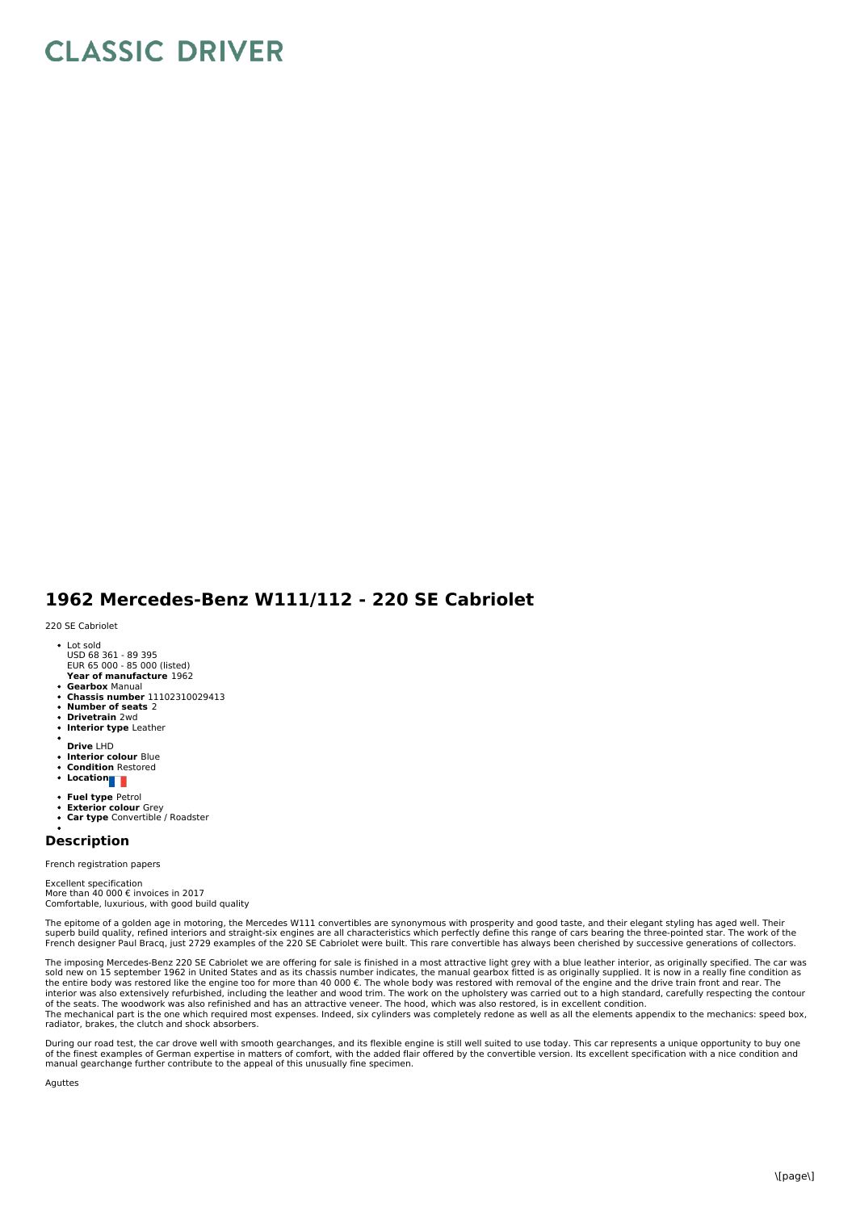## **CLASSIC DRIVER**

## **1962 Mercedes-Benz W111/112 - 220 SE Cabriolet**

220 SE Cabriolet

- Lot sold USD 68 361 - 89 395
- **Year of manufacture** 1962 EUR 65 000 - 85 000 (listed)
- **Gearbox** Manual
- **Chassis number** 11102310029413
- **Number of seats** 2
- $\ddot{\phantom{0}}$ **Drivetrain** 2wd
- **Interior type** Leather
- **Drive** LHD
- **Interior colour** Blue **Condition** Restored
- 
- **Location**
- **Fuel type** Petrol
- **Exterior colour** Grey **Car type** Convertible / Roadster
- $\ddot{\phantom{a}}$

## **Description**

French registration papers

Excellent specification More than 40 000 € invoices in 2017 Comfortable, luxurious, with good build quality

The epitome of a golden age in motoring, the Mercedes W111 convertibles are synonymous with prosperity and good taste, and their elegant styling has aged well. Their<br>superb build quality, refined interiors and straight-six French designer Paul Bracq, just 2729 examples of the 220 SE Cabriolet were built. This rare convertible has always been cherished by successive generations of collectors.

The imposing Mercedes-Benz 220 SE Cabriolet we are offering for sale is finished in a most attractive light grey with a blue leather interior, as originally specified. The car was<br>sold new on 15 september 1962 in United St the entire body was restored like the engine too for more than 40 000 €. The whole body was restored with removal of the engine and the drive train front and rear. The<br>interior was also extensively refurbished, including of the seats. The woodwork was also refinished and has an attractive veneer. The hood, which was also restored, is in excellent condition.<br>The mechanical part is the one which required most expenses. Indeed, six cylinders radiator, brakes, the clutch and shock absorbers.

During our road test, the car drove well with smooth gearchanges, and its flexible engine is still well suited to use today. This car represents a unique opportunity to buy one of the finest examples of German expertise in matters of comfort, with the added flair offered by the convertible version. Its excellent specification with a nice condition and manual gearchange further contribute to the appeal of this unusually fine specimen.

Aguttes